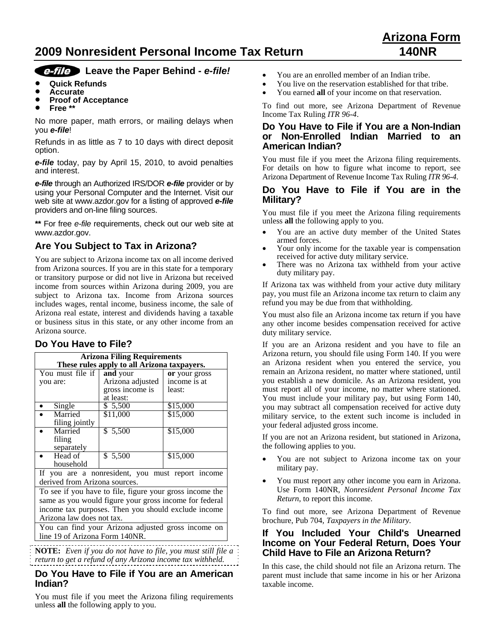# **2009 Nonresident Personal Income Tax Return 140NR**

# **Arizona Form**

# *Leave* the Paper Behind - *e-file!*

- **Quick Refunds**
- **Accurate**
- **Proof of Acceptance**<br>• Free \*\*
- **Free \*\***

No more paper, math errors, or mailing delays when you *e-file*!

Refunds in as little as 7 to 10 days with direct deposit option.

*e-file* today, pay by April 15, 2010, to avoid penalties and interest.

*e-file* through an Authorized IRS/DOR *e-file* provider or by using your Personal Computer and the Internet. Visit our web site at www.azdor.gov for a listing of approved *e-file* providers and on-line filing sources.

**\*\*** For free *e-file* requirements, check out our web site at www.azdor.gov.

# **Are You Subject to Tax in Arizona?**

You are subject to Arizona income tax on all income derived from Arizona sources. If you are in this state for a temporary or transitory purpose or did not live in Arizona but received income from sources within Arizona during 2009, you are subject to Arizona tax. Income from Arizona sources includes wages, rental income, business income, the sale of Arizona real estate, interest and dividends having a taxable or business situs in this state, or any other income from an Arizona source.

# **Do You Have to File?**

| <b>Arizona Filing Requirements</b>          |                  |               |
|---------------------------------------------|------------------|---------------|
| These rules apply to all Arizona taxpayers. |                  |               |
| You must file if                            | and your         | or your gross |
| you are:                                    | Arizona adjusted | income is at  |
|                                             | gross income is  | least:        |
|                                             | at least:        |               |
| Single                                      | \$5,500          | \$15,000      |
| Married                                     | \$11,000         | \$15,000      |
| filing jointly                              |                  |               |
| Married                                     | \$ 5,500         | \$15,000      |
| filing                                      |                  |               |
| separately                                  |                  |               |
| Head of                                     | \$ 5,500         | \$15,000      |
| household                                   |                  |               |
| $\mathbf{r}$                                | . .              |               |

If you are a nonresident, you must report income derived from Arizona sources.

To see if you have to file, figure your gross income the same as you would figure your gross income for federal income tax purposes. Then you should exclude income Arizona law does not tax.

You can find your Arizona adjusted gross income on line 19 of Arizona Form 140NR.

**NOTE:** *Even if you do not have to file, you must still file a return to get a refund of any Arizona income tax withheld.*

#### **Do You Have to File if You are an American Indian?**

You must file if you meet the Arizona filing requirements unless **all** the following apply to you.

- You are an enrolled member of an Indian tribe.
- You live on the reservation established for that tribe.
- You earned **all** of your income on that reservation.

To find out more, see Arizona Department of Revenue Income Tax Ruling *ITR 96-4*.

#### **Do You Have to File if You are a Non-Indian or Non-Enrolled Indian Married to an American Indian?**

You must file if you meet the Arizona filing requirements. For details on how to figure what income to report, see Arizona Department of Revenue Income Tax Ruling *ITR 96-4*.

#### **Do You Have to File if You are in the Military?**

You must file if you meet the Arizona filing requirements unless **all** the following apply to you.

- You are an active duty member of the United States armed forces.
- Your only income for the taxable year is compensation received for active duty military service.
- There was no Arizona tax withheld from your active duty military pay.

If Arizona tax was withheld from your active duty military pay, you must file an Arizona income tax return to claim any refund you may be due from that withholding.

You must also file an Arizona income tax return if you have any other income besides compensation received for active duty military service.

If you are an Arizona resident and you have to file an Arizona return, you should file using Form 140. If you were an Arizona resident when you entered the service, you remain an Arizona resident, no matter where stationed, until you establish a new domicile. As an Arizona resident, you must report all of your income, no matter where stationed. You must include your military pay, but using Form 140, you may subtract all compensation received for active duty military service, to the extent such income is included in your federal adjusted gross income.

If you are not an Arizona resident, but stationed in Arizona, the following applies to you.

- You are not subject to Arizona income tax on your military pay.
- You must report any other income you earn in Arizona. Use Form 140NR, *Nonresident Personal Income Tax Return*, to report this income.

To find out more, see Arizona Department of Revenue brochure, Pub 704, *Taxpayers in the Military.*

#### **If You Included Your Child's Unearned Income on Your Federal Return, Does Your Child Have to File an Arizona Return?**

In this case, the child should not file an Arizona return. The parent must include that same income in his or her Arizona taxable income.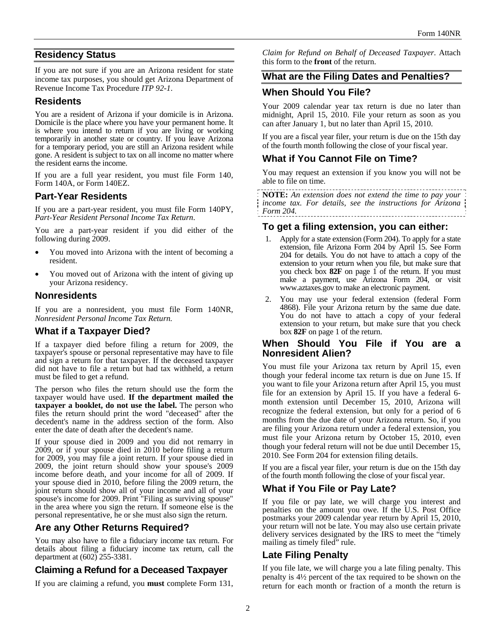# **Residency Status**

If you are not sure if you are an Arizona resident for state income tax purposes, you should get Arizona Department of Revenue Income Tax Procedure *ITP 92-1*.

## **Residents**

You are a resident of Arizona if your domicile is in Arizona. Domicile is the place where you have your permanent home. It is where you intend to return if you are living or working temporarily in another state or country. If you leave Arizona for a temporary period, you are still an Arizona resident while gone. A resident is subject to tax on all income no matter where the resident earns the income.

If you are a full year resident, you must file Form 140, Form 140A, or Form 140EZ.

## **Part-Year Residents**

If you are a part-year resident, you must file Form 140PY, *Part-Year Resident Personal Income Tax Return*.

You are a part-year resident if you did either of the following during 2009.

- You moved into Arizona with the intent of becoming a resident.
- You moved out of Arizona with the intent of giving up your Arizona residency.

#### **Nonresidents**

If you are a nonresident, you must file Form 140NR, *Nonresident Personal Income Tax Return.*

# **What if a Taxpayer Died?**

If a taxpayer died before filing a return for 2009, the taxpayer's spouse or personal representative may have to file and sign a return for that taxpayer. If the deceased taxpayer did not have to file a return but had tax withheld, a return must be filed to get a refund.

The person who files the return should use the form the taxpayer would have used. **If the department mailed the taxpayer a booklet, do not use the label.** The person who files the return should print the word "deceased" after the decedent's name in the address section of the form. Also enter the date of death after the decedent's name.

If your spouse died in 2009 and you did not remarry in 2009, or if your spouse died in 2010 before filing a return for 2009, you may file a joint return. If your spouse died in 2009, the joint return should show your spouse's 2009 income before death, and your income for all of 2009. If your spouse died in 2010, before filing the 2009 return, the joint return should show all of your income and all of your spouse's income for 2009. Print "Filing as surviving spouse" in the area where you sign the return. If someone else is the personal representative, he or she must also sign the return.

# **Are any Other Returns Required?**

You may also have to file a fiduciary income tax return. For details about filing a fiduciary income tax return, call the department at (602) 255-3381.

# **Claiming a Refund for a Deceased Taxpayer**

If you are claiming a refund, you **must** complete Form 131,

*Claim for Refund on Behalf of Deceased Taxpayer*. Attach this form to the **front** of the return.

## **What are the Filing Dates and Penalties?**

## **When Should You File?**

Your 2009 calendar year tax return is due no later than midnight, April 15, 2010. File your return as soon as you can after January 1, but no later than April 15, 2010.

If you are a fiscal year filer, your return is due on the 15th day of the fourth month following the close of your fiscal year.

## **What if You Cannot File on Time?**

You may request an extension if you know you will not be able to file on time.

**NOTE:** *An extension does not extend the time to pay your income tax. For details, see the instructions for Arizona Form 204.* 

#### **To get a filing extension, you can either:**

- 1. Apply for a state extension (Form 204). To apply for a state extension, file Arizona Form 204 by April 15. See Form 204 for details. You do not have to attach a copy of the extension to your return when you file, but make sure that you check box **82F** on page 1 of the return. If you must make a payment, use Arizona Form 204*,* or visit www.aztaxes.gov to make an electronic payment.
- 2. You may use your federal extension (federal Form 4868). File your Arizona return by the same due date. You do not have to attach a copy of your federal extension to your return, but make sure that you check box **82F** on page 1 of the return.

#### **When Should You File if You are a Nonresident Alien?**

You must file your Arizona tax return by April 15, even though your federal income tax return is due on June 15. If you want to file your Arizona return after April 15, you must file for an extension by April 15. If you have a federal 6 month extension until December 15, 2010, Arizona will recognize the federal extension, but only for a period of 6 months from the due date of your Arizona return. So, if you are filing your Arizona return under a federal extension, you must file your Arizona return by October 15, 2010, even though your federal return will not be due until December 15, 2010. See Form 204 for extension filing details.

If you are a fiscal year filer, your return is due on the 15th day of the fourth month following the close of your fiscal year.

# **What if You File or Pay Late?**

If you file or pay late, we will charge you interest and penalties on the amount you owe. If the U.S. Post Office postmarks your 2009 calendar year return by April 15, 2010, your return will not be late. You may also use certain private delivery services designated by the IRS to meet the "timely mailing as timely filed" rule.

# **Late Filing Penalty**

If you file late, we will charge you a late filing penalty. This penalty is 4½ percent of the tax required to be shown on the return for each month or fraction of a month the return is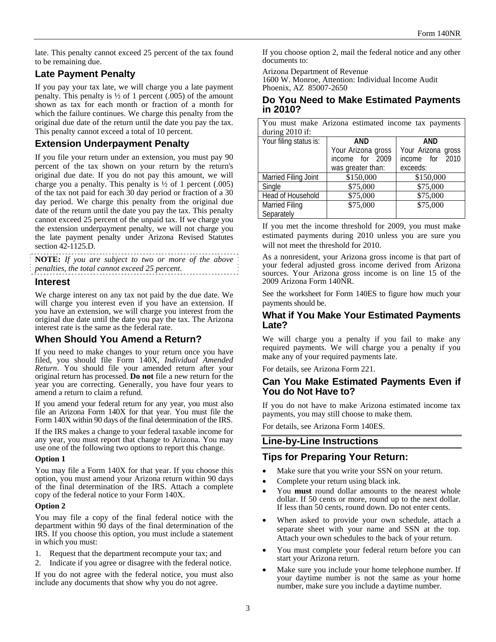late. This penalty cannot exceed 25 percent of the tax found to be remaining due.

## **Late Payment Penalty**

If you pay your tax late, we will charge you a late payment penalty. This penalty is  $\frac{1}{2}$  of 1 percent (.005) of the amount shown as tax for each month or fraction of a month for which the failure continues. We charge this penalty from the original due date of the return until the date you pay the tax. This penalty cannot exceed a total of 10 percent.

## **Extension Underpayment Penalty**

If you file your return under an extension, you must pay 90 percent of the tax shown on your return by the return's original due date. If you do not pay this amount, we will charge you a penalty. This penalty is  $\frac{1}{2}$  of 1 percent (.005) of the tax not paid for each 30 day period or fraction of a 30 day period. We charge this penalty from the original due date of the return until the date you pay the tax. This penalty cannot exceed 25 percent of the unpaid tax. If we charge you the extension underpayment penalty, we will not charge you the late payment penalty under Arizona Revised Statutes section 42-1125.D.

**NOTE:** *If you are subject to two or more of the above penalties, the total cannot exceed 25 percent.* 

#### **Interest**

We charge interest on any tax not paid by the due date. We will charge you interest even if you have an extension. If you have an extension, we will charge you interest from the original due date until the date you pay the tax. The Arizona interest rate is the same as the federal rate.

## **When Should You Amend a Return?**

If you need to make changes to your return once you have filed, you should file Form 140X, *Individual Amended Return*. You should file your amended return after your original return has processed. **Do not** file a new return for the year you are correcting. Generally, you have four years to amend a return to claim a refund.

If you amend your federal return for any year, you must also file an Arizona Form 140X for that year. You must file the Form 140X within 90 days of the final determination of the IRS.

If the IRS makes a change to your federal taxable income for any year, you must report that change to Arizona. You may use one of the following two options to report this change.

#### **Option 1**

You may file a Form 140X for that year. If you choose this option, you must amend your Arizona return within 90 days of the final determination of the IRS. Attach a complete copy of the federal notice to your Form 140X.

#### **Option 2**

You may file a copy of the final federal notice with the department within 90 days of the final determination of the IRS. If you choose this option, you must include a statement in which you must:

- 1. Request that the department recompute your tax; and
- 2. Indicate if you agree or disagree with the federal notice.

If you do not agree with the federal notice, you must also include any documents that show why you do not agree.

If you choose option 2, mail the federal notice and any other documents to:

Arizona Department of Revenue

1600 W. Monroe, Attention: Individual Income Audit Phoenix, AZ 85007-2650

#### **Do You Need to Make Estimated Payments in 2010?**

You must make Arizona estimated income tax payments during 2010 if:

| Your filing status is: | <b>AND</b>         | <b>AND</b>         |
|------------------------|--------------------|--------------------|
|                        | Your Arizona gross | Your Arizona gross |
|                        | income for 2009    | income for 2010    |
|                        | was greater than:  | exceeds:           |
| Married Filing Joint   | \$150,000          | \$150,000          |
| Single                 | \$75,000           | \$75,000           |
| Head of Household      | \$75,000           | \$75,000           |
| <b>Married Filing</b>  | \$75,000           | \$75,000           |
| Separately             |                    |                    |

If you met the income threshold for 2009, you must make estimated payments during 2010 unless you are sure you will not meet the threshold for 2010.

As a nonresident, your Arizona gross income is that part of your federal adjusted gross income derived from Arizona sources. Your Arizona gross income is on line 15 of the 2009 Arizona Form 140NR.

See the worksheet for Form 140ES to figure how much your payments should be.

#### **What if You Make Your Estimated Payments Late?**

We will charge you a penalty if you fail to make any required payments. We will charge you a penalty if you make any of your required payments late.

For details, see Arizona Form 221.

# **Can You Make Estimated Payments Even if You do Not Have to?**

If you do not have to make Arizona estimated income tax payments, you may still choose to make them.

For details, see Arizona Form 140ES.

#### **Line-by-Line Instructions**

#### **Tips for Preparing Your Return:**

- Make sure that you write your SSN on your return.
- Complete your return using black ink.
- You **must** round dollar amounts to the nearest whole dollar. If 50 cents or more, round up to the next dollar. If less than 50 cents, round down. Do not enter cents.
- When asked to provide your own schedule, attach a separate sheet with your name and SSN at the top. Attach your own schedules to the back of your return.
- You must complete your federal return before you can start your Arizona return.
- Make sure you include your home telephone number. If your daytime number is not the same as your home number, make sure you include a daytime number.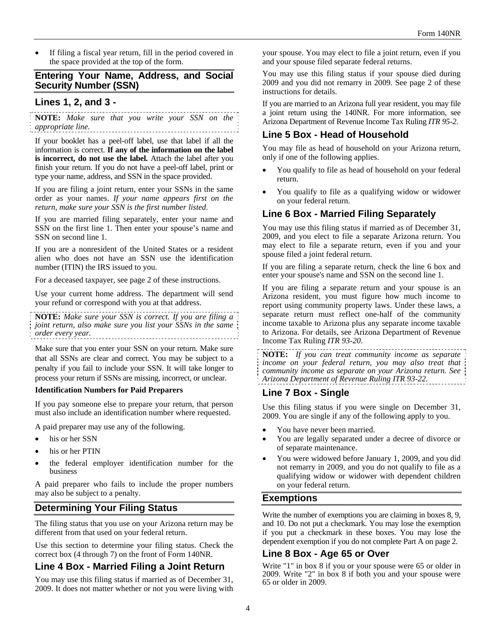If filing a fiscal year return, fill in the period covered in the space provided at the top of the form.

#### **Entering Your Name, Address, and Social Security Number (SSN)**

#### **Lines 1, 2, and 3 -**

**NOTE:** *Make sure that you write your SSN on the appropriate line.*

If your booklet has a peel-off label, use that label if all the information is correct. **If any of the information on the label is incorrect, do not use the label.** Attach the label after you finish your return. If you do not have a peel-off label, print or type your name, address, and SSN in the space provided.

If you are filing a joint return, enter your SSNs in the same order as your names. *If your name appears first on the return, make sure your SSN is the first number listed*.

If you are married filing separately, enter your name and SSN on the first line 1. Then enter your spouse's name and SSN on second line 1.

If you are a nonresident of the United States or a resident alien who does not have an SSN use the identification number (ITIN) the IRS issued to you.

For a deceased taxpayer, see page 2 of these instructions.

Use your current home address. The department will send your refund or correspond with you at that address.

**NOTE:** *Make sure your SSN is correct. If you are filing a joint return, also make sure you list your SSNs in the same order every year.* 

Make sure that you enter your SSN on your return. Make sure that all SSNs are clear and correct. You may be subject to a penalty if you fail to include your SSN. It will take longer to process your return if SSNs are missing, incorrect, or unclear.

#### **Identification Numbers for Paid Preparers**

If you pay someone else to prepare your return, that person must also include an identification number where requested.

A paid preparer may use any of the following.

- his or her SSN
- his or her PTIN
- the federal employer identification number for the business

A paid preparer who fails to include the proper numbers may also be subject to a penalty.

#### **Determining Your Filing Status**

The filing status that you use on your Arizona return may be different from that used on your federal return.

Use this section to determine your filing status. Check the correct box (4 through 7) on the front of Form 140NR.

## **Line 4 Box - Married Filing a Joint Return**

You may use this filing status if married as of December 31, 2009. It does not matter whether or not you were living with your spouse. You may elect to file a joint return, even if you and your spouse filed separate federal returns.

You may use this filing status if your spouse died during 2009 and you did not remarry in 2009. See page 2 of these instructions for details.

If you are married to an Arizona full year resident, you may file a joint return using the 140NR. For more information, see Arizona Department of Revenue Income Tax Ruling *ITR 95-2*.

#### **Line 5 Box - Head of Household**

You may file as head of household on your Arizona return, only if one of the following applies.

- You qualify to file as head of household on your federal return.
- You qualify to file as a qualifying widow or widower on your federal return.

#### **Line 6 Box - Married Filing Separately**

You may use this filing status if married as of December 31, 2009, and you elect to file a separate Arizona return. You may elect to file a separate return, even if you and your spouse filed a joint federal return.

If you are filing a separate return, check the line 6 box and enter your spouse's name and SSN on the second line 1.

If you are filing a separate return and your spouse is an Arizona resident, you must figure how much income to report using community property laws. Under these laws, a separate return must reflect one-half of the community income taxable to Arizona plus any separate income taxable to Arizona. For details, see Arizona Department of Revenue Income Tax Ruling *ITR 93-20*.

**NOTE:** *If you can treat community income as separate income on your federal return, you may also treat that community income as separate on your Arizona return. See Arizona Department of Revenue Ruling ITR 93-22.*

#### **Line 7 Box - Single**

Use this filing status if you were single on December 31, 2009. You are single if any of the following apply to you.

- You have never been married.
- You are legally separated under a decree of divorce or of separate maintenance.
- You were widowed before January 1, 2009, and you did not remarry in 2009, and you do not qualify to file as a qualifying widow or widower with dependent children on your federal return.

#### **Exemptions**

Write the number of exemptions you are claiming in boxes 8, 9, and 10. Do not put a checkmark. You may lose the exemption if you put a checkmark in these boxes. You may lose the dependent exemption if you do not complete Part A on page 2.

#### **Line 8 Box - Age 65 or Over**

Write "1" in box 8 if you or your spouse were 65 or older in 2009. Write "2" in box 8 if both you and your spouse were 65 or older in 2009.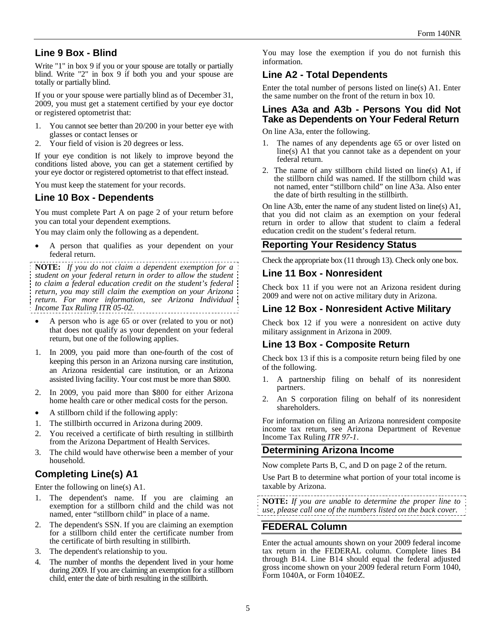# **Line 9 Box - Blind**

Write "1" in box 9 if you or your spouse are totally or partially blind. Write "2" in box 9 if both you and your spouse are totally or partially blind.

If you or your spouse were partially blind as of December 31, 2009, you must get a statement certified by your eye doctor or registered optometrist that:

- 1. You cannot see better than 20/200 in your better eye with glasses or contact lenses or
- 2. Your field of vision is 20 degrees or less.

If your eye condition is not likely to improve beyond the conditions listed above, you can get a statement certified by your eye doctor or registered optometrist to that effect instead.

You must keep the statement for your records.

#### **Line 10 Box - Dependents**

You must complete Part A on page 2 of your return before you can total your dependent exemptions.

You may claim only the following as a dependent.

 A person that qualifies as your dependent on your federal return.

**NOTE:** *If you do not claim a dependent exemption for a student on your federal return in order to allow the student to claim a federal education credit on the student's federal return, you may still claim the exemption on your Arizona return. For more information, see Arizona Individual Income Tax Ruling ITR 05-02.*

- A person who is age 65 or over (related to you or not) that does not qualify as your dependent on your federal return, but one of the following applies.
- 1. In 2009, you paid more than one-fourth of the cost of keeping this person in an Arizona nursing care institution, an Arizona residential care institution, or an Arizona assisted living facility. Your cost must be more than \$800.
- 2. In 2009, you paid more than \$800 for either Arizona home health care or other medical costs for the person.
- A stillborn child if the following apply:
- 1. The stillbirth occurred in Arizona during 2009.
- 2. You received a certificate of birth resulting in stillbirth from the Arizona Department of Health Services.
- 3. The child would have otherwise been a member of your household.

# **Completing Line(s) A1**

Enter the following on line(s) A1.

- 1. The dependent's name. If you are claiming an exemption for a stillborn child and the child was not named, enter "stillborn child" in place of a name.
- 2. The dependent's SSN. If you are claiming an exemption for a stillborn child enter the certificate number from the certificate of birth resulting in stillbirth.
- 3. The dependent's relationship to you.
- 4. The number of months the dependent lived in your home during 2009. If you are claiming an exemption for a stillborn child, enter the date of birth resulting in the stillbirth.

You may lose the exemption if you do not furnish this information.

# **Line A2 - Total Dependents**

Enter the total number of persons listed on line(s) A1. Enter the same number on the front of the return in box 10.

## **Lines A3a and A3b - Persons You did Not Take as Dependents on Your Federal Return**

On line A3a, enter the following.

- The names of any dependents age 65 or over listed on line(s) A1 that you cannot take as a dependent on your federal return.
- 2. The name of any stillborn child listed on line(s) A1, if the stillborn child was named. If the stillborn child was not named, enter "stillborn child" on line A3a. Also enter the date of birth resulting in the stillbirth.

On line A3b, enter the name of any student listed on line(s) A1, that you did not claim as an exemption on your federal return in order to allow that student to claim a federal education credit on the student's federal return.

## **Reporting Your Residency Status**

Check the appropriate box (11 through 13). Check only one box.

#### **Line 11 Box - Nonresident**

Check box 11 if you were not an Arizona resident during 2009 and were not on active military duty in Arizona.

## **Line 12 Box - Nonresident Active Military**

Check box 12 if you were a nonresident on active duty military assignment in Arizona in 2009.

## **Line 13 Box - Composite Return**

Check box 13 if this is a composite return being filed by one of the following.

- 1. A partnership filing on behalf of its nonresident partners.
- 2. An S corporation filing on behalf of its nonresident shareholders.

For information on filing an Arizona nonresident composite income tax return, see Arizona Department of Revenue Income Tax Ruling *ITR 97-1*.

## **Determining Arizona Income**

Now complete Parts B, C, and D on page 2 of the return.

Use Part B to determine what portion of your total income is taxable by Arizona.

**NOTE:** *If you are unable to determine the proper line to use, please call one of the numbers listed on the back cover.* 

## **FEDERAL Column**

Enter the actual amounts shown on your 2009 federal income tax return in the FEDERAL column. Complete lines B4 through B14. Line B14 should equal the federal adjusted gross income shown on your 2009 federal return Form 1040, Form 1040A, or Form 1040EZ.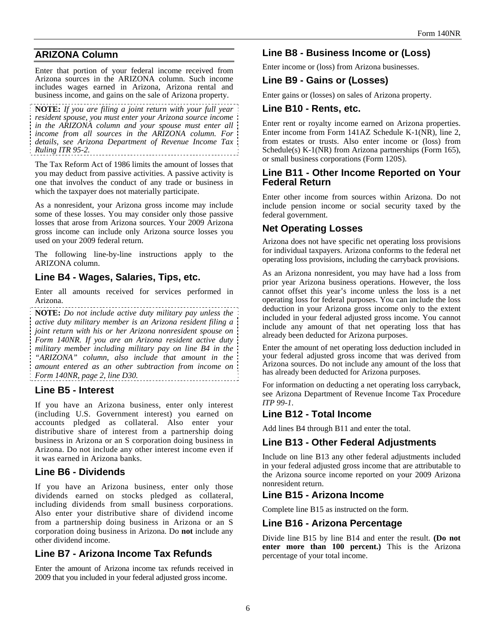# **ARIZONA Column**

Enter that portion of your federal income received from Arizona sources in the ARIZONA column. Such income includes wages earned in Arizona, Arizona rental and business income, and gains on the sale of Arizona property.

**NOTE:** *If you are filing a joint return with your full year resident spouse, you must enter your Arizona source income in the ARIZONA column and your spouse must enter all income from all sources in the ARIZONA column. For details, see Arizona Department of Revenue Income Tax Ruling ITR 95-2.*

The Tax Reform Act of 1986 limits the amount of losses that you may deduct from passive activities. A passive activity is one that involves the conduct of any trade or business in which the taxpayer does not materially participate.

As a nonresident, your Arizona gross income may include some of these losses. You may consider only those passive losses that arose from Arizona sources. Your 2009 Arizona gross income can include only Arizona source losses you used on your 2009 federal return.

The following line-by-line instructions apply to the ARIZONA column.

## **Line B4 - Wages, Salaries, Tips, etc.**

Enter all amounts received for services performed in Arizona.

**NOTE:** *Do not include active duty military pay unless the active duty military member is an Arizona resident filing a joint return with his or her Arizona nonresident spouse on Form 140NR. If you are an Arizona resident active duty military member including military pay on line B4 in the "ARIZONA" column, also include that amount in the amount entered as an other subtraction from income on Form 140NR, page 2, line D30.* 

## **Line B5 - Interest**

If you have an Arizona business, enter only interest (including U.S. Government interest) you earned on accounts pledged as collateral. Also enter your distributive share of interest from a partnership doing business in Arizona or an S corporation doing business in Arizona. Do not include any other interest income even if it was earned in Arizona banks.

# **Line B6 - Dividends**

If you have an Arizona business, enter only those dividends earned on stocks pledged as collateral, including dividends from small business corporations. Also enter your distributive share of dividend income from a partnership doing business in Arizona or an S corporation doing business in Arizona. Do **not** include any other dividend income.

# **Line B7 - Arizona Income Tax Refunds**

Enter the amount of Arizona income tax refunds received in 2009 that you included in your federal adjusted gross income.

# **Line B8 - Business Income or (Loss)**

Enter income or (loss) from Arizona businesses.

## **Line B9 - Gains or (Losses)**

Enter gains or (losses) on sales of Arizona property.

## **Line B10 - Rents, etc.**

Enter rent or royalty income earned on Arizona properties. Enter income from Form 141AZ Schedule K-1(NR), line 2, from estates or trusts. Also enter income or (loss) from Schedule(s) K-1(NR) from Arizona partnerships (Form 165), or small business corporations (Form 120S).

#### **Line B11 - Other Income Reported on Your Federal Return**

Enter other income from sources within Arizona. Do not include pension income or social security taxed by the federal government.

# **Net Operating Losses**

Arizona does not have specific net operating loss provisions for individual taxpayers. Arizona conforms to the federal net operating loss provisions, including the carryback provisions.

As an Arizona nonresident, you may have had a loss from prior year Arizona business operations. However, the loss cannot offset this year's income unless the loss is a net operating loss for federal purposes. You can include the loss deduction in your Arizona gross income only to the extent included in your federal adjusted gross income. You cannot include any amount of that net operating loss that has already been deducted for Arizona purposes.

Enter the amount of net operating loss deduction included in your federal adjusted gross income that was derived from Arizona sources. Do not include any amount of the loss that has already been deducted for Arizona purposes.

For information on deducting a net operating loss carryback, see Arizona Department of Revenue Income Tax Procedure *ITP 99-1*.

## **Line B12 - Total Income**

Add lines B4 through B11 and enter the total.

# **Line B13 - Other Federal Adjustments**

Include on line B13 any other federal adjustments included in your federal adjusted gross income that are attributable to the Arizona source income reported on your 2009 Arizona nonresident return.

## **Line B15 - Arizona Income**

Complete line B15 as instructed on the form.

## **Line B16 - Arizona Percentage**

Divide line B15 by line B14 and enter the result. **(Do not enter more than 100 percent.)** This is the Arizona percentage of your total income.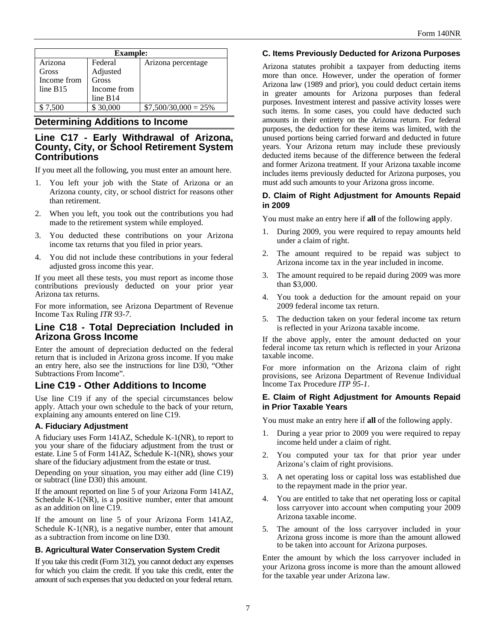| <b>Example:</b> |             |                        |
|-----------------|-------------|------------------------|
| Arizona         | Federal     | Arizona percentage     |
| Gross           | Adjusted    |                        |
| Income from     | Gross       |                        |
| line B15        | Income from |                        |
|                 | line B14    |                        |
| \$7.500         | \$30,000    | $$7,500/30,000 = 25\%$ |

#### **Determining Additions to Income**

#### **Line C17 - Early Withdrawal of Arizona, County, City, or School Retirement System Contributions**

If you meet all the following, you must enter an amount here.

- 1. You left your job with the State of Arizona or an Arizona county, city, or school district for reasons other than retirement.
- 2. When you left, you took out the contributions you had made to the retirement system while employed.
- 3. You deducted these contributions on your Arizona income tax returns that you filed in prior years.
- 4. You did not include these contributions in your federal adjusted gross income this year.

If you meet all these tests, you must report as income those contributions previously deducted on your prior year Arizona tax returns.

For more information, see Arizona Department of Revenue Income Tax Ruling *ITR 93-7*.

## **Line C18 - Total Depreciation Included in Arizona Gross Income**

Enter the amount of depreciation deducted on the federal return that is included in Arizona gross income. If you make an entry here, also see the instructions for line D30, "Other Subtractions From Income".

## **Line C19 - Other Additions to Income**

Use line C19 if any of the special circumstances below apply. Attach your own schedule to the back of your return, explaining any amounts entered on line C19.

#### **A. Fiduciary Adjustment**

A fiduciary uses Form 141AZ, Schedule K-1(NR), to report to you your share of the fiduciary adjustment from the trust or estate. Line 5 of Form 141AZ, Schedule K-1(NR), shows your share of the fiduciary adjustment from the estate or trust.

Depending on your situation, you may either add (line C19) or subtract (line D30) this amount.

If the amount reported on line 5 of your Arizona Form 141AZ, Schedule K-1(NR), is a positive number, enter that amount as an addition on line C19.

If the amount on line 5 of your Arizona Form 141AZ, Schedule K-1(NR), is a negative number, enter that amount as a subtraction from income on line D30.

#### **B. Agricultural Water Conservation System Credit**

If you take this credit (Form 312), you cannot deduct any expenses for which you claim the credit. If you take this credit, enter the amount of such expenses that you deducted on your federal return.

#### **C. Items Previously Deducted for Arizona Purposes**

Arizona statutes prohibit a taxpayer from deducting items more than once. However, under the operation of former Arizona law (1989 and prior), you could deduct certain items in greater amounts for Arizona purposes than federal purposes. Investment interest and passive activity losses were such items. In some cases, you could have deducted such amounts in their entirety on the Arizona return. For federal purposes, the deduction for these items was limited, with the unused portions being carried forward and deducted in future years. Your Arizona return may include these previously deducted items because of the difference between the federal and former Arizona treatment. If your Arizona taxable income includes items previously deducted for Arizona purposes, you must add such amounts to your Arizona gross income.

#### **D. Claim of Right Adjustment for Amounts Repaid in 2009**

You must make an entry here if **all** of the following apply.

- 1. During 2009, you were required to repay amounts held under a claim of right.
- 2. The amount required to be repaid was subject to Arizona income tax in the year included in income.
- 3. The amount required to be repaid during 2009 was more than \$3,000.
- 4. You took a deduction for the amount repaid on your 2009 federal income tax return.
- 5. The deduction taken on your federal income tax return is reflected in your Arizona taxable income.

If the above apply, enter the amount deducted on your federal income tax return which is reflected in your Arizona taxable income.

For more information on the Arizona claim of right provisions, see Arizona Department of Revenue Individual Income Tax Procedure *ITP 95-1*.

#### **E. Claim of Right Adjustment for Amounts Repaid in Prior Taxable Years**

You must make an entry here if **all** of the following apply.

- 1. During a year prior to 2009 you were required to repay income held under a claim of right.
- 2. You computed your tax for that prior year under Arizona's claim of right provisions.
- 3. A net operating loss or capital loss was established due to the repayment made in the prior year.
- 4. You are entitled to take that net operating loss or capital loss carryover into account when computing your 2009 Arizona taxable income.
- 5. The amount of the loss carryover included in your Arizona gross income is more than the amount allowed to be taken into account for Arizona purposes.

Enter the amount by which the loss carryover included in your Arizona gross income is more than the amount allowed for the taxable year under Arizona law.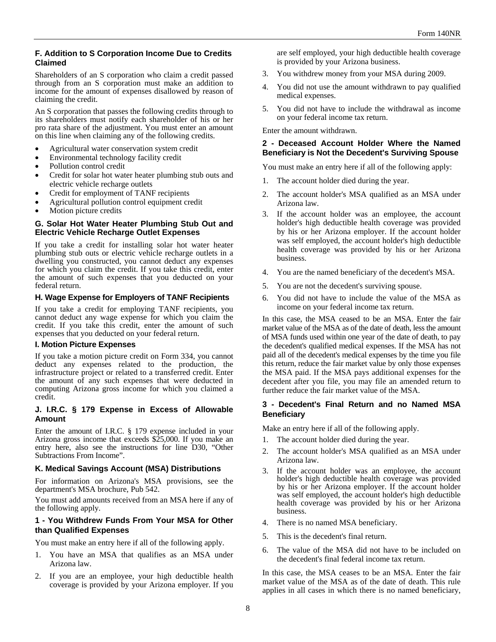#### **F. Addition to S Corporation Income Due to Credits Claimed**

Shareholders of an S corporation who claim a credit passed through from an S corporation must make an addition to income for the amount of expenses disallowed by reason of claiming the credit.

An S corporation that passes the following credits through to its shareholders must notify each shareholder of his or her pro rata share of the adjustment. You must enter an amount on this line when claiming any of the following credits.

- Agricultural water conservation system credit
- Environmental technology facility credit
- Pollution control credit
- Credit for solar hot water heater plumbing stub outs and electric vehicle recharge outlets
- Credit for employment of TANF recipients
- Agricultural pollution control equipment credit
- Motion picture credits

#### **G. Solar Hot Water Heater Plumbing Stub Out and Electric Vehicle Recharge Outlet Expenses**

If you take a credit for installing solar hot water heater plumbing stub outs or electric vehicle recharge outlets in a dwelling you constructed, you cannot deduct any expenses for which you claim the credit. If you take this credit, enter the amount of such expenses that you deducted on your federal return.

#### **H. Wage Expense for Employers of TANF Recipients**

If you take a credit for employing TANF recipients, you cannot deduct any wage expense for which you claim the credit. If you take this credit, enter the amount of such expenses that you deducted on your federal return.

#### **I. Motion Picture Expenses**

If you take a motion picture credit on Form 334, you cannot deduct any expenses related to the production, the infrastructure project or related to a transferred credit. Enter the amount of any such expenses that were deducted in computing Arizona gross income for which you claimed a credit.

#### **J. I.R.C. § 179 Expense in Excess of Allowable Amount**

Enter the amount of I.R.C. § 179 expense included in your Arizona gross income that exceeds \$25,000. If you make an entry here, also see the instructions for line D30, "Other Subtractions From Income".

#### **K. Medical Savings Account (MSA) Distributions**

For information on Arizona's MSA provisions, see the department's MSA brochure, Pub 542.

You must add amounts received from an MSA here if any of the following apply.

#### **1 - You Withdrew Funds From Your MSA for Other than Qualified Expenses**

You must make an entry here if all of the following apply.

- 1. You have an MSA that qualifies as an MSA under Arizona law.
- 2. If you are an employee, your high deductible health coverage is provided by your Arizona employer. If you

are self employed, your high deductible health coverage is provided by your Arizona business.

- 3. You withdrew money from your MSA during 2009.
- 4. You did not use the amount withdrawn to pay qualified medical expenses.
- 5. You did not have to include the withdrawal as income on your federal income tax return.

Enter the amount withdrawn.

#### **2 - Deceased Account Holder Where the Named Beneficiary is Not the Decedent's Surviving Spouse**

You must make an entry here if all of the following apply:

- 1. The account holder died during the year.
- 2. The account holder's MSA qualified as an MSA under Arizona law.
- 3. If the account holder was an employee, the account holder's high deductible health coverage was provided by his or her Arizona employer. If the account holder was self employed, the account holder's high deductible health coverage was provided by his or her Arizona business.
- 4. You are the named beneficiary of the decedent's MSA.
- 5. You are not the decedent's surviving spouse.
- 6. You did not have to include the value of the MSA as income on your federal income tax return.

In this case, the MSA ceased to be an MSA. Enter the fair market value of the MSA as of the date of death, less the amount of MSA funds used within one year of the date of death, to pay the decedent's qualified medical expenses. If the MSA has not paid all of the decedent's medical expenses by the time you file this return, reduce the fair market value by only those expenses the MSA paid. If the MSA pays additional expenses for the decedent after you file, you may file an amended return to further reduce the fair market value of the MSA.

#### **3 - Decedent's Final Return and no Named MSA Beneficiary**

Make an entry here if all of the following apply.

- 1. The account holder died during the year.
- 2. The account holder's MSA qualified as an MSA under Arizona law.
- 3. If the account holder was an employee, the account holder's high deductible health coverage was provided by his or her Arizona employer. If the account holder was self employed, the account holder's high deductible health coverage was provided by his or her Arizona business.
- 4. There is no named MSA beneficiary.
- 5. This is the decedent's final return.
- 6. The value of the MSA did not have to be included on the decedent's final federal income tax return.

In this case, the MSA ceases to be an MSA. Enter the fair market value of the MSA as of the date of death. This rule applies in all cases in which there is no named beneficiary,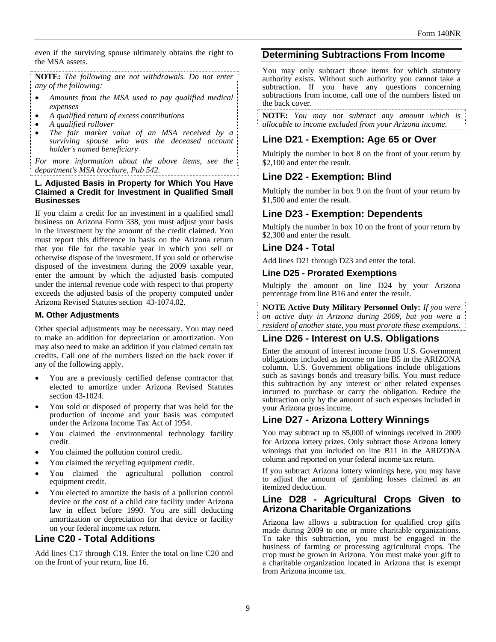even if the surviving spouse ultimately obtains the right to the MSA assets.

**NOTE:** *The following are not withdrawals. Do not enter any of the following:* 

- *Amounts from the MSA used to pay qualified medical expenses*
- *A qualified return of excess contributions*
- *A qualified rollover*
- *The fair market value of an MSA received by a surviving spouse who was the deceased account holder's named beneficiary*

*For more information about the above items, see the department's MSA brochure, Pub 542.* 

#### **L. Adjusted Basis in Property for Which You Have Claimed a Credit for Investment in Qualified Small Businesses**

If you claim a credit for an investment in a qualified small business on Arizona Form 338, you must adjust your basis in the investment by the amount of the credit claimed. You must report this difference in basis on the Arizona return that you file for the taxable year in which you sell or otherwise dispose of the investment. If you sold or otherwise disposed of the investment during the 2009 taxable year, enter the amount by which the adjusted basis computed under the internal revenue code with respect to that property exceeds the adjusted basis of the property computed under Arizona Revised Statutes section 43-1074.02.

#### **M. Other Adjustments**

Other special adjustments may be necessary. You may need to make an addition for depreciation or amortization. You may also need to make an addition if you claimed certain tax credits. Call one of the numbers listed on the back cover if any of the following apply.

- You are a previously certified defense contractor that elected to amortize under Arizona Revised Statutes section 43-1024.
- You sold or disposed of property that was held for the production of income and your basis was computed under the Arizona Income Tax Act of 1954.
- You claimed the environmental technology facility credit.
- You claimed the pollution control credit.
- You claimed the recycling equipment credit.
- You claimed the agricultural pollution control equipment credit.
- You elected to amortize the basis of a pollution control device or the cost of a child care facility under Arizona law in effect before 1990. You are still deducting amortization or depreciation for that device or facility on your federal income tax return.

#### **Line C20 - Total Additions**

Add lines C17 through C19. Enter the total on line C20 and on the front of your return, line 16.

#### **Determining Subtractions From Income**

You may only subtract those items for which statutory authority exists. Without such authority you cannot take a subtraction. If you have any questions concerning subtractions from income, call one of the numbers listed on the back cover.

**NOTE:** *You may not subtract any amount which is allocable to income excluded from your Arizona income.* 

## **Line D21 - Exemption: Age 65 or Over**

Multiply the number in box 8 on the front of your return by \$2,100 and enter the result.

## **Line D22 - Exemption: Blind**

Multiply the number in box 9 on the front of your return by \$1,500 and enter the result.

## **Line D23 - Exemption: Dependents**

Multiply the number in box 10 on the front of your return by \$2,300 and enter the result.

#### **Line D24 - Total**

Add lines D21 through D23 and enter the total.

#### **Line D25 - Prorated Exemptions**

Multiply the amount on line D24 by your Arizona percentage from line B16 and enter the result.

**NOTE Active Duty Military Personnel Only:** *If you were on active duty in Arizona during 2009, but you were a resident of another state, you must prorate these exemptions.* 

## **Line D26 - Interest on U.S. Obligations**

Enter the amount of interest income from U.S. Government obligations included as income on line B5 in the ARIZONA column. U.S. Government obligations include obligations such as savings bonds and treasury bills. You must reduce this subtraction by any interest or other related expenses incurred to purchase or carry the obligation. Reduce the subtraction only by the amount of such expenses included in your Arizona gross income.

## **Line D27 - Arizona Lottery Winnings**

You may subtract up to \$5,000 of winnings received in 2009 for Arizona lottery prizes. Only subtract those Arizona lottery winnings that you included on line B11 in the ARIZONA column and reported on your federal income tax return.

If you subtract Arizona lottery winnings here, you may have to adjust the amount of gambling losses claimed as an itemized deduction.

#### **Line D28 - Agricultural Crops Given to Arizona Charitable Organizations**

Arizona law allows a subtraction for qualified crop gifts made during 2009 to one or more charitable organizations. To take this subtraction, you must be engaged in the business of farming or processing agricultural crops. The crop must be grown in Arizona. You must make your gift to a charitable organization located in Arizona that is exempt from Arizona income tax.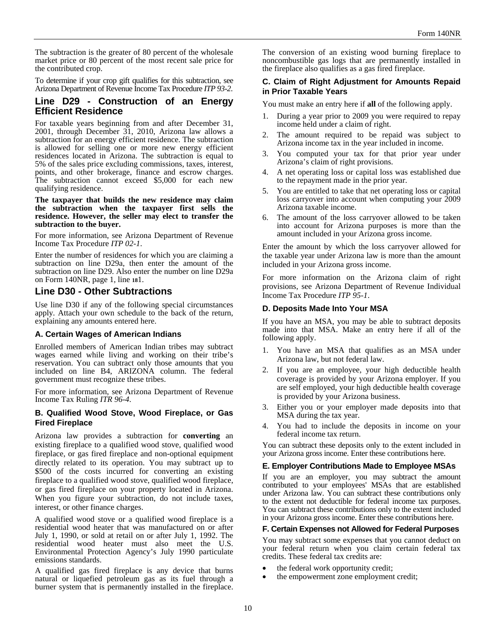The subtraction is the greater of 80 percent of the wholesale market price or 80 percent of the most recent sale price for the contributed crop.

To determine if your crop gift qualifies for this subtraction, see Arizona Department of Revenue Income Tax Procedure *ITP 93-2*.

#### **Line D29 - Construction of an Energy Efficient Residence**

For taxable years beginning from and after December 31, 2001, through December 31, 2010, Arizona law allows a subtraction for an energy efficient residence. The subtraction is allowed for selling one or more new energy efficient residences located in Arizona. The subtraction is equal to 5% of the sales price excluding commissions, taxes, interest, points, and other brokerage, finance and escrow charges. The subtraction cannot exceed \$5,000 for each new qualifying residence.

**The taxpayer that builds the new residence may claim the subtraction when the taxpayer first sells the residence. However, the seller may elect to transfer the subtraction to the buyer.** 

For more information, see Arizona Department of Revenue Income Tax Procedure *ITP 02-1*.

Enter the number of residences for which you are claiming a subtraction on line D29a, then enter the amount of the subtraction on line D29. Also enter the number on line D29a on Form 140NR, page 1, line **18**1.

## **Line D30 - Other Subtractions**

Use line D30 if any of the following special circumstances apply. Attach your own schedule to the back of the return, explaining any amounts entered here.

#### **A. Certain Wages of American Indians**

Enrolled members of American Indian tribes may subtract wages earned while living and working on their tribe's reservation. You can subtract only those amounts that you included on line B4, ARIZONA column. The federal government must recognize these tribes.

For more information, see Arizona Department of Revenue Income Tax Ruling *ITR 96-4*.

#### **B. Qualified Wood Stove, Wood Fireplace, or Gas Fired Fireplace**

Arizona law provides a subtraction for **converting** an existing fireplace to a qualified wood stove, qualified wood fireplace, or gas fired fireplace and non-optional equipment directly related to its operation. You may subtract up to \$500 of the costs incurred for converting an existing fireplace to a qualified wood stove, qualified wood fireplace, or gas fired fireplace on your property located in Arizona. When you figure your subtraction, do not include taxes, interest, or other finance charges.

A qualified wood stove or a qualified wood fireplace is a residential wood heater that was manufactured on or after July 1, 1990, or sold at retail on or after July 1, 1992. The residential wood heater must also meet the U.S. Environmental Protection Agency's July 1990 particulate emissions standards.

A qualified gas fired fireplace is any device that burns natural or liquefied petroleum gas as its fuel through a burner system that is permanently installed in the fireplace. The conversion of an existing wood burning fireplace to noncombustible gas logs that are permanently installed in the fireplace also qualifies as a gas fired fireplace.

#### **C. Claim of Right Adjustment for Amounts Repaid in Prior Taxable Years**

You must make an entry here if **all** of the following apply.

- 1. During a year prior to 2009 you were required to repay income held under a claim of right.
- The amount required to be repaid was subject to Arizona income tax in the year included in income.
- 3. You computed your tax for that prior year under Arizona's claim of right provisions.
- 4. A net operating loss or capital loss was established due to the repayment made in the prior year.
- 5. You are entitled to take that net operating loss or capital loss carryover into account when computing your 2009 Arizona taxable income.
- The amount of the loss carryover allowed to be taken into account for Arizona purposes is more than the amount included in your Arizona gross income.

Enter the amount by which the loss carryover allowed for the taxable year under Arizona law is more than the amount included in your Arizona gross income.

For more information on the Arizona claim of right provisions, see Arizona Department of Revenue Individual Income Tax Procedure *ITP 95-1*.

#### **D. Deposits Made Into Your MSA**

If you have an MSA, you may be able to subtract deposits made into that MSA. Make an entry here if all of the following apply.

- You have an MSA that qualifies as an MSA under Arizona law, but not federal law.
- 2. If you are an employee, your high deductible health coverage is provided by your Arizona employer. If you are self employed, your high deductible health coverage is provided by your Arizona business.
- 3. Either you or your employer made deposits into that MSA during the tax year.
- 4. You had to include the deposits in income on your federal income tax return.

You can subtract these deposits only to the extent included in your Arizona gross income. Enter these contributions here.

#### **E. Employer Contributions Made to Employee MSAs**

If you are an employer, you may subtract the amount contributed to your employees' MSAs that are established under Arizona law. You can subtract these contributions only to the extent not deductible for federal income tax purposes. You can subtract these contributions only to the extent included in your Arizona gross income. Enter these contributions here.

#### **F. Certain Expenses not Allowed for Federal Purposes**

You may subtract some expenses that you cannot deduct on your federal return when you claim certain federal tax credits. These federal tax credits are:

- the federal work opportunity credit;
- the empowerment zone employment credit;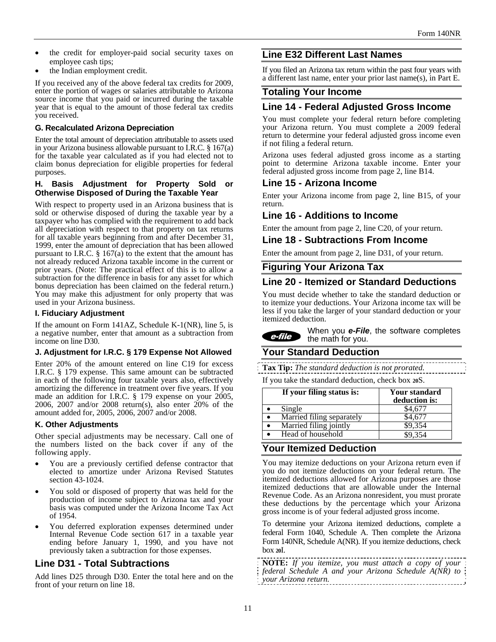- the credit for employer-paid social security taxes on employee cash tips;
- the Indian employment credit.

If you received any of the above federal tax credits for 2009, enter the portion of wages or salaries attributable to Arizona source income that you paid or incurred during the taxable year that is equal to the amount of those federal tax credits you received.

#### **G. Recalculated Arizona Depreciation**

Enter the total amount of depreciation attributable to assets used in your Arizona business allowable pursuant to I.R.C. § 167(a) for the taxable year calculated as if you had elected not to claim bonus depreciation for eligible properties for federal purposes.

#### **H. Basis Adjustment for Property Sold or Otherwise Disposed of During the Taxable Year**

With respect to property used in an Arizona business that is sold or otherwise disposed of during the taxable year by a taxpayer who has complied with the requirement to add back all depreciation with respect to that property on tax returns for all taxable years beginning from and after December 31, 1999, enter the amount of depreciation that has been allowed pursuant to I.R.C.  $\S 167(a)$  to the extent that the amount has not already reduced Arizona taxable income in the current or prior years. (Note: The practical effect of this is to allow a subtraction for the difference in basis for any asset for which bonus depreciation has been claimed on the federal return.) You may make this adjustment for only property that was used in your Arizona business.

#### **I. Fiduciary Adjustment**

If the amount on Form 141AZ, Schedule K-1(NR), line 5, is a negative number, enter that amount as a subtraction from income on line D30.

#### **J. Adjustment for I.R.C. § 179 Expense Not Allowed**

Enter 20% of the amount entered on line C19 for excess I.R.C. § 179 expense. This same amount can be subtracted in each of the following four taxable years also, effectively amortizing the difference in treatment over five years. If you made an addition for I.R.C. § 179 expense on your 2005, 2006, 2007 and/or 2008 return(s), also enter 20% of the amount added for, 2005, 2006, 2007 and/or 2008.

#### **K. Other Adjustments**

Other special adjustments may be necessary. Call one of the numbers listed on the back cover if any of the following apply.

- You are a previously certified defense contractor that elected to amortize under Arizona Revised Statutes section 43-1024.
- You sold or disposed of property that was held for the production of income subject to Arizona tax and your basis was computed under the Arizona Income Tax Act of 1954.
- You deferred exploration expenses determined under Internal Revenue Code section 617 in a taxable year ending before January 1, 1990, and you have not previously taken a subtraction for those expenses.

#### **Line D31 - Total Subtractions**

Add lines D25 through D30. Enter the total here and on the front of your return on line 18.

## **Line E32 Different Last Names**

If you filed an Arizona tax return within the past four years with a different last name, enter your prior last name(s), in Part E.

#### **Totaling Your Income**

## **Line 14 - Federal Adjusted Gross Income**

You must complete your federal return before completing your Arizona return. You must complete a 2009 federal return to determine your federal adjusted gross income even if not filing a federal return.

Arizona uses federal adjusted gross income as a starting point to determine Arizona taxable income. Enter your federal adjusted gross income from page 2, line B14.

#### **Line 15 - Arizona Income**

Enter your Arizona income from page 2, line B15, of your return.

#### **Line 16 - Additions to Income**

Enter the amount from page 2, line C20, of your return.

#### **Line 18 - Subtractions From Income**

Enter the amount from page 2, line D31, of your return.

#### **Figuring Your Arizona Tax**

#### **Line 20 - Itemized or Standard Deductions**

You must decide whether to take the standard deduction or to itemize your deductions. Your Arizona income tax will be less if you take the larger of your standard deduction or your itemized deduction.

When you *e-File*, the software completes e-file the math for you.

# **Your Standard Deduction**

**Tax Tip:** *The standard deduction is not prorated.*  If you take the standard deduction, check box **20**S.

| If you take the standard deduction, check box 200. |                                |  |
|----------------------------------------------------|--------------------------------|--|
| If your filing status is:                          | Your standard<br>deduction is: |  |

|                           | deduction is: |
|---------------------------|---------------|
| Single                    |               |
| Married filing separately |               |
| Married filing jointly    | \$9.354       |
| Head of household         | \$9.354       |

#### **Your Itemized Deduction**

You may itemize deductions on your Arizona return even if you do not itemize deductions on your federal return. The itemized deductions allowed for Arizona purposes are those itemized deductions that are allowable under the Internal Revenue Code. As an Arizona nonresident, you must prorate these deductions by the percentage which your Arizona gross income is of your federal adjusted gross income.

To determine your Arizona itemized deductions, complete a federal Form 1040, Schedule A. Then complete the Arizona Form 140NR, Schedule A(NR). If you itemize deductions, check box **20**I.

**NOTE:** *If you itemize, you must attach a copy of your federal Schedule A and your Arizona Schedule A(NR) to your Arizona return.*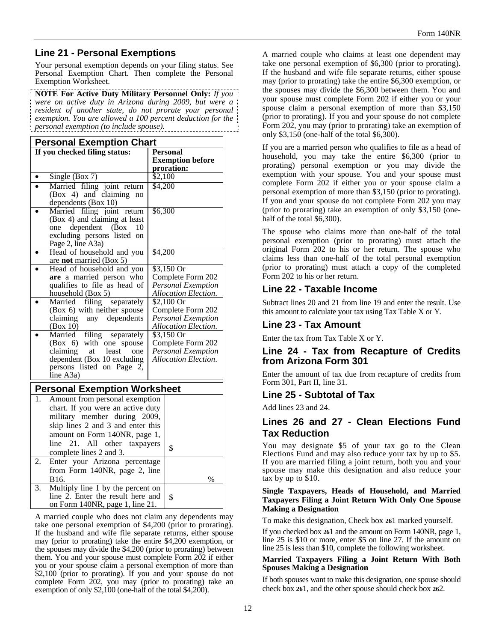# **Line 21 - Personal Exemptions**

Your personal exemption depends on your filing status. See Personal Exemption Chart. Then complete the Personal Exemption Worksheet.

**NOTE For Active Duty Military Personnel Only:** *If you were on active duty in Arizona during 2009, but were a resident of another state, do not prorate your personal exemption. You are allowed a 100 percent deduction for the personal exemption (to include spouse).* 

| <b>Personal Exemption Chart</b>                                                                                                                                                                                             |                                                                                                            |                                                                                |                                                                                       |
|-----------------------------------------------------------------------------------------------------------------------------------------------------------------------------------------------------------------------------|------------------------------------------------------------------------------------------------------------|--------------------------------------------------------------------------------|---------------------------------------------------------------------------------------|
|                                                                                                                                                                                                                             | If you checked filing status:                                                                              |                                                                                | <b>Personal</b><br><b>Exemption before</b><br>proration:                              |
|                                                                                                                                                                                                                             | Single (Box 7)                                                                                             | \$2,100                                                                        |                                                                                       |
|                                                                                                                                                                                                                             | Married filing joint return<br>(Box 4) and claiming<br>no<br>dependents (Box 10)                           | \$4,200                                                                        |                                                                                       |
| \$6,300<br>Married filing<br>joint<br>return<br>(Box 4) and claiming at least<br>dependent<br>(Box<br>10<br>one<br>excluding persons listed on<br>Page 2, line A3a)                                                         |                                                                                                            |                                                                                |                                                                                       |
|                                                                                                                                                                                                                             | Head of household and you<br>are not married (Box 5)                                                       | \$4,200                                                                        |                                                                                       |
|                                                                                                                                                                                                                             | Head of household and you<br>are a married person who<br>qualifies to file as head of<br>household (Box 5) | $$3,150$ Or<br>Complete Form 202<br>Personal Exemption<br>Allocation Election. |                                                                                       |
|                                                                                                                                                                                                                             | Married filing<br>separately<br>(Box 6) with neither spouse<br>claiming<br>dependents<br>any<br>(Box 10)   |                                                                                | $$2,100$ Or<br>Complete Form 202<br><b>Personal Exemption</b><br>Allocation Election. |
| \$3,150 Or<br>Married<br>filing<br>separately<br>$(Box 6)$ with one<br>spouse<br>claiming<br>at<br>least<br>one<br>dependent (Box 10 excluding<br>persons listed on Page 2,<br>line A3a)                                    |                                                                                                            | Complete Form 202<br><b>Personal Exemption</b><br><b>Allocation Election.</b>  |                                                                                       |
|                                                                                                                                                                                                                             | <b>Personal Exemption Worksheet</b>                                                                        |                                                                                |                                                                                       |
| Amount from personal exemption<br>1.<br>chart. If you were an active duty<br>military member during 2009,<br>skip lines 2 and 3 and enter this<br>amount on Form 140NR, page 1,<br>21.<br>All<br>line<br>other<br>taxpayers |                                                                                                            | \$                                                                             |                                                                                       |
| 2.                                                                                                                                                                                                                          | complete lines 2 and 3.<br>Enter your Arizona percentage                                                   |                                                                                |                                                                                       |
|                                                                                                                                                                                                                             | from Form 140NR, page 2, line<br>B16.                                                                      |                                                                                | $\%$                                                                                  |
| 3.                                                                                                                                                                                                                          | Multiply line 1 by the percent on<br>line 2. Enter the result here and<br>on Form 140NR, page 1, line 21.  |                                                                                | \$                                                                                    |

A married couple who does not claim any dependents may take one personal exemption of \$4,200 (prior to prorating). If the husband and wife file separate returns, either spouse may (prior to prorating) take the entire \$4,200 exemption, or the spouses may divide the \$4,200 (prior to prorating) between them. You and your spouse must complete Form 202 if either you or your spouse claim a personal exemption of more than \$2,100 (prior to prorating). If you and your spouse do not complete Form 202, you may (prior to prorating) take an exemption of only \$2,100 (one-half of the total \$4,200).

A married couple who claims at least one dependent may take one personal exemption of \$6,300 (prior to prorating). If the husband and wife file separate returns, either spouse may (prior to prorating) take the entire \$6,300 exemption, or the spouses may divide the \$6,300 between them. You and your spouse must complete Form 202 if either you or your spouse claim a personal exemption of more than \$3,150 (prior to prorating). If you and your spouse do not complete Form 202, you may (prior to prorating) take an exemption of only \$3,150 (one-half of the total \$6,300).

If you are a married person who qualifies to file as a head of household, you may take the entire \$6,300 (prior to prorating) personal exemption or you may divide the exemption with your spouse. You and your spouse must complete Form 202 if either you or your spouse claim a personal exemption of more than \$3,150 (prior to prorating). If you and your spouse do not complete Form 202 you may (prior to prorating) take an exemption of only \$3,150 (onehalf of the total \$6,300).

The spouse who claims more than one-half of the total personal exemption (prior to prorating) must attach the original Form 202 to his or her return. The spouse who claims less than one-half of the total personal exemption (prior to prorating) must attach a copy of the completed Form 202 to his or her return.

## **Line 22 - Taxable Income**

Subtract lines 20 and 21 from line 19 and enter the result. Use this amount to calculate your tax using Tax Table X or Y.

## **Line 23 - Tax Amount**

Enter the tax from Tax Table X or Y.

#### **Line 24 - Tax from Recapture of Credits from Arizona Form 301**

Enter the amount of tax due from recapture of credits from Form 301, Part II, line 31.

## **Line 25 - Subtotal of Tax**

Add lines 23 and 24.

## **Lines 26 and 27 - Clean Elections Fund Tax Reduction**

You may designate \$5 of your tax go to the Clean Elections Fund and may also reduce your tax by up to \$5. If you are married filing a joint return, both you and your spouse may make this designation and also reduce your tax by up to \$10.

#### **Single Taxpayers, Heads of Household, and Married Taxpayers Filing a Joint Return With Only One Spouse Making a Designation**

To make this designation, Check box **26**1 marked yourself.

If you checked box **26**1 and the amount on Form 140NR, page 1, line 25 is \$10 or more, enter \$5 on line 27. If the amount on line 25 is less than \$10, complete the following worksheet.

#### **Married Taxpayers Filing a Joint Return With Both Spouses Making a Designation**

If both spouses want to make this designation, one spouse should check box **26**1, and the other spouse should check box **26**2.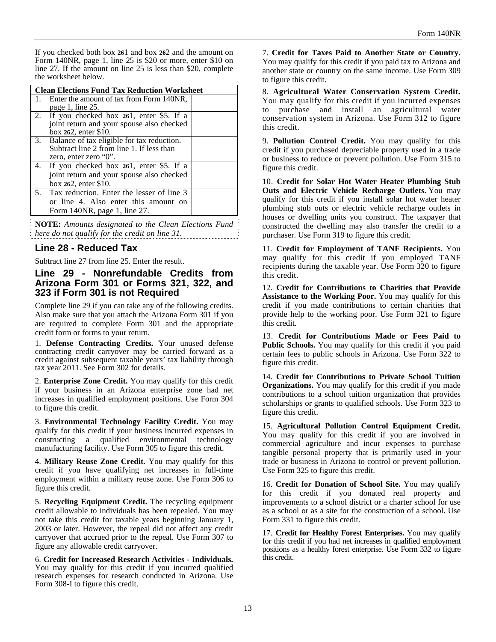If you checked both box **26**1 and box **26**2 and the amount on Form 140NR, page 1, line 25 is \$20 or more, enter \$10 on line 27. If the amount on line 25 is less than \$20, complete the worksheet below.

|    | <b>Clean Elections Fund Tax Reduction Worksheet</b> |  |  |
|----|-----------------------------------------------------|--|--|
| 1. | Enter the amount of tax from Form 140NR,            |  |  |
|    | page 1, line 25.                                    |  |  |
|    | 2. If you checked box 261, enter \$5. If a          |  |  |
|    | joint return and your spouse also checked           |  |  |
|    | box 262, enter \$10.                                |  |  |
|    | 3. Balance of tax eligible for tax reduction.       |  |  |
|    | Subtract line 2 from line 1. If less than           |  |  |
|    | zero, enter zero "0".                               |  |  |
|    | 4. If you checked box 261, enter \$5. If a          |  |  |
|    | joint return and your spouse also checked           |  |  |
|    | box 262, enter \$10.                                |  |  |
|    | 5. Tax reduction. Enter the lesser of line 3        |  |  |
|    | or line 4. Also enter this amount on                |  |  |
|    | Form $140NR$ , page 1, line 27.                     |  |  |
|    |                                                     |  |  |

**NOTE:** *Amounts designated to the Clean Elections Fund here do not qualify for the credit on line 31.*

#### **Line 28 - Reduced Tax**

Subtract line 27 from line 25. Enter the result.

#### **Line 29 - Nonrefundable Credits from Arizona Form 301 or Forms 321, 322, and 323 if Form 301 is not Required**

Complete line 29 if you can take any of the following credits. Also make sure that you attach the Arizona Form 301 if you are required to complete Form 301 and the appropriate credit form or forms to your return.

1. **Defense Contracting Credits.** Your unused defense contracting credit carryover may be carried forward as a credit against subsequent taxable years' tax liability through tax year 2011. See Form 302 for details.

2. **Enterprise Zone Credit.** You may qualify for this credit if your business in an Arizona enterprise zone had net increases in qualified employment positions. Use Form 304 to figure this credit.

3. **Environmental Technology Facility Credit.** You may qualify for this credit if your business incurred expenses in constructing a qualified environmental technology manufacturing facility. Use Form 305 to figure this credit.

4. **Military Reuse Zone Credit.** You may qualify for this credit if you have qualifying net increases in full-time employment within a military reuse zone. Use Form 306 to figure this credit.

5. **Recycling Equipment Credit.** The recycling equipment credit allowable to individuals has been repealed. You may not take this credit for taxable years beginning January 1, 2003 or later. However, the repeal did not affect any credit carryover that accrued prior to the repeal. Use Form 307 to figure any allowable credit carryover.

6. **Credit for Increased Research Activities - Individuals.** You may qualify for this credit if you incurred qualified research expenses for research conducted in Arizona. Use Form 308-I to figure this credit.

7. **Credit for Taxes Paid to Another State or Country.**  You may qualify for this credit if you paid tax to Arizona and another state or country on the same income. Use Form 309 to figure this credit.

8. **Agricultural Water Conservation System Credit.**  You may qualify for this credit if you incurred expenses to purchase and install an agricultural water conservation system in Arizona. Use Form 312 to figure this credit.

9. **Pollution Control Credit.** You may qualify for this credit if you purchased depreciable property used in a trade or business to reduce or prevent pollution. Use Form 315 to figure this credit.

10. **Credit for Solar Hot Water Heater Plumbing Stub Outs and Electric Vehicle Recharge Outlets.** You may qualify for this credit if you install solar hot water heater plumbing stub outs or electric vehicle recharge outlets in houses or dwelling units you construct. The taxpayer that constructed the dwelling may also transfer the credit to a purchaser. Use Form 319 to figure this credit.

11. **Credit for Employment of TANF Recipients.** You may qualify for this credit if you employed TANF recipients during the taxable year. Use Form 320 to figure this credit.

12. **Credit for Contributions to Charities that Provide Assistance to the Working Poor.** You may qualify for this credit if you made contributions to certain charities that provide help to the working poor. Use Form 321 to figure this credit.

13. **Credit for Contributions Made or Fees Paid to Public Schools.** You may qualify for this credit if you paid certain fees to public schools in Arizona. Use Form 322 to figure this credit.

14. **Credit for Contributions to Private School Tuition Organizations.** You may qualify for this credit if you made contributions to a school tuition organization that provides scholarships or grants to qualified schools. Use Form 323 to figure this credit.

15. **Agricultural Pollution Control Equipment Credit.**  You may qualify for this credit if you are involved in commercial agriculture and incur expenses to purchase tangible personal property that is primarily used in your trade or business in Arizona to control or prevent pollution. Use Form 325 to figure this credit.

16. **Credit for Donation of School Site.** You may qualify for this credit if you donated real property and improvements to a school district or a charter school for use as a school or as a site for the construction of a school. Use Form 331 to figure this credit.

17. **Credit for Healthy Forest Enterprises.** You may qualify for this credit if you had net increases in qualified employment positions as a healthy forest enterprise. Use Form 332 to figure this credit.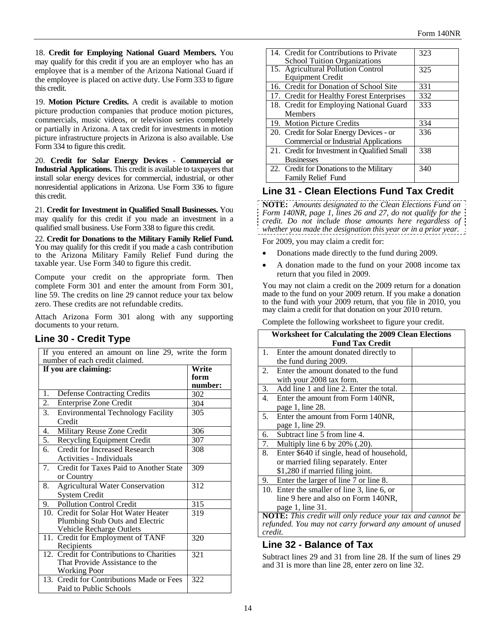18. **Credit for Employing National Guard Members.** You may qualify for this credit if you are an employer who has an employee that is a member of the Arizona National Guard if the employee is placed on active duty. Use Form 333 to figure this credit.

19. **Motion Picture Credits.** A credit is available to motion picture production companies that produce motion pictures, commercials, music videos, or television series completely or partially in Arizona. A tax credit for investments in motion picture infrastructure projects in Arizona is also available. Use Form 334 to figure this credit.

20. **Credit for Solar Energy Devices** - **Commercial or Industrial Applications.** This credit is available to taxpayers that install solar energy devices for commercial, industrial, or other nonresidential applications in Arizona. Use Form 336 to figure this credit.

21. **Credit for Investment in Qualified Small Businesses.** You may qualify for this credit if you made an investment in a qualified small business. Use Form 338 to figure this credit.

22. **Credit for Donations to the Military Family Relief Fund.**  You may qualify for this credit if you made a cash contribution to the Arizona Military Family Relief Fund during the taxable year. Use Form 340 to figure this credit.

Compute your credit on the appropriate form. Then complete Form 301 and enter the amount from Form 301, line 59. The credits on line 29 cannot reduce your tax below zero. These credits are not refundable credits.

Attach Arizona Form 301 along with any supporting documents to your return.

# **Line 30 - Credit Type**

| If you entered an amount on line 29, write the form<br>number of each credit claimed. |         |  |
|---------------------------------------------------------------------------------------|---------|--|
| If you are claiming:                                                                  | Write   |  |
|                                                                                       | form    |  |
|                                                                                       | number: |  |
| 1.<br><b>Defense Contracting Credits</b>                                              | 302     |  |
| $\overline{2}$ .<br>Enterprise Zone Credit                                            | 304     |  |
| 3.<br><b>Environmental Technology Facility</b>                                        | 305     |  |
| Credit                                                                                |         |  |
| Military Reuse Zone Credit<br>4.                                                      | 306     |  |
| $\overline{5}$ .<br>Recycling Equipment Credit                                        | 307     |  |
| 6.<br><b>Credit for Increased Research</b>                                            | 308     |  |
| Activities - Individuals                                                              |         |  |
| 7.<br>Credit for Taxes Paid to Another State                                          | 309     |  |
| or Country                                                                            |         |  |
| <b>Agricultural Water Conservation</b><br>8.                                          | 312     |  |
| <b>System Credit</b>                                                                  |         |  |
| <b>Pollution Control Credit</b><br>9.                                                 | 315     |  |
| 10. Credit for Solar Hot Water Heater                                                 | 319     |  |
| Plumbing Stub Outs and Electric                                                       |         |  |
| Vehicle Recharge Outlets                                                              |         |  |
| 11. Credit for Employment of TANF                                                     | 320     |  |
| Recipients                                                                            |         |  |
| 12. Credit for Contributions to Charities                                             | 321     |  |
| That Provide Assistance to the                                                        |         |  |
| <b>Working Poor</b>                                                                   |         |  |
| 13. Credit for Contributions Made or Fees                                             | 322     |  |
| Paid to Public Schools                                                                |         |  |

| 14. Credit for Contributions to Private      | 323 |
|----------------------------------------------|-----|
| <b>School Tuition Organizations</b>          |     |
| 15. Agricultural Pollution Control           | 325 |
| <b>Equipment Credit</b>                      |     |
| 16. Credit for Donation of School Site       | 331 |
| 17. Credit for Healthy Forest Enterprises    | 332 |
| 18. Credit for Employing National Guard      | 333 |
| <b>Members</b>                               |     |
| 19. Motion Picture Credits                   | 334 |
| 20. Credit for Solar Energy Devices - or     | 336 |
| <b>Commercial or Industrial Applications</b> |     |
| 21. Credit for Investment in Qualified Small | 338 |
| <b>Businesses</b>                            |     |
| 22. Credit for Donations to the Military     | 340 |
| <b>Family Relief Fund</b>                    |     |

## **Line 31 - Clean Elections Fund Tax Credit**

**NOTE:** *Amounts designated to the Clean Elections Fund on Form 140NR, page 1, lines 26 and 27, do not qualify for the credit. Do not include those amounts here regardless of whether you made the designation this year or in a prior year.*

For 2009, you may claim a credit for:

- Donations made directly to the fund during 2009.
- A donation made to the fund on your 2008 income tax return that you filed in 2009.

You may not claim a credit on the 2009 return for a donation made to the fund on your 2009 return. If you make a donation to the fund with your 2009 return, that you file in 2010, you may claim a credit for that donation on your 2010 return.

Complete the following worksheet to figure your credit.

| Worksheet for Calculating the 2009 Clean Elections        |                                           |  |  |
|-----------------------------------------------------------|-------------------------------------------|--|--|
|                                                           | <b>Fund Tax Credit</b>                    |  |  |
| 1.                                                        | Enter the amount donated directly to      |  |  |
| the fund during 2009.                                     |                                           |  |  |
| 2.                                                        | Enter the amount donated to the fund      |  |  |
| with your 2008 tax form.                                  |                                           |  |  |
| 3.                                                        | Add line 1 and line 2. Enter the total.   |  |  |
| 4.                                                        | Enter the amount from Form 140NR,         |  |  |
| page 1, line 28.                                          |                                           |  |  |
| 5.                                                        | Enter the amount from Form 140NR,         |  |  |
| page 1, line 29.                                          |                                           |  |  |
| Subtract line 5 from line 4.<br>6.                        |                                           |  |  |
| 7.<br>Multiply line 6 by $20\%$ (.20).                    |                                           |  |  |
| 8.                                                        | Enter \$640 if single, head of household, |  |  |
|                                                           | or married filing separately. Enter       |  |  |
| \$1,280 if married filing joint.                          |                                           |  |  |
| Enter the larger of line 7 or line 8.<br>9.               |                                           |  |  |
| 10. Enter the smaller of line 3, line 6, or               |                                           |  |  |
|                                                           | line 9 here and also on Form 140NR,       |  |  |
| page 1, line 31.                                          |                                           |  |  |
| NOTE: This credit will only reduce your tax and cannot be |                                           |  |  |

*refunded. You may not carry forward any amount of unused credit.*

## **Line 32 - Balance of Tax**

Subtract lines 29 and 31 from line 28. If the sum of lines 29 and 31 is more than line 28, enter zero on line 32.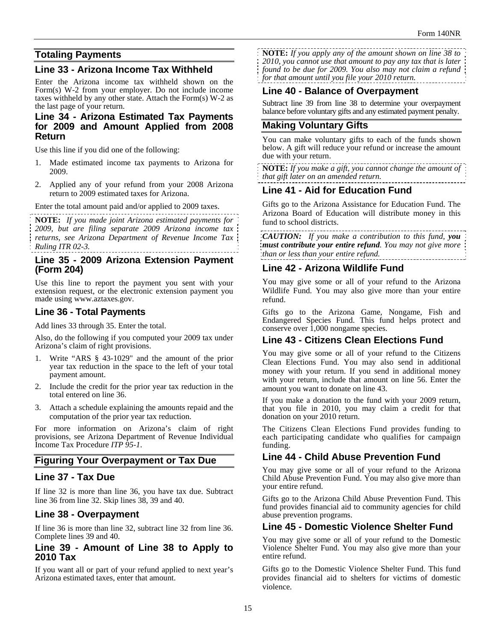# **Totaling Payments**

## **Line 33 - Arizona Income Tax Withheld**

Enter the Arizona income tax withheld shown on the Form(s) W-2 from your employer. Do not include income taxes withheld by any other state. Attach the Form(s) W-2 as the last page of your return.

#### **Line 34 - Arizona Estimated Tax Payments for 2009 and Amount Applied from 2008 Return**

Use this line if you did one of the following:

- 1. Made estimated income tax payments to Arizona for 2009.
- 2. Applied any of your refund from your 2008 Arizona return to 2009 estimated taxes for Arizona.

Enter the total amount paid and/or applied to 2009 taxes.

**NOTE:** *If you made joint Arizona estimated payments for 2009, but are filing separate 2009 Arizona income tax returns, see Arizona Department of Revenue Income Tax Ruling ITR 02-3.*

## **Line 35 - 2009 Arizona Extension Payment (Form 204)**

Use this line to report the payment you sent with your extension request, or the electronic extension payment you made using www.aztaxes.gov.

## **Line 36 - Total Payments**

Add lines 33 through 35. Enter the total.

Also, do the following if you computed your 2009 tax under Arizona's claim of right provisions.

- 1. Write "ARS § 43-1029" and the amount of the prior year tax reduction in the space to the left of your total payment amount.
- 2. Include the credit for the prior year tax reduction in the total entered on line 36.
- 3. Attach a schedule explaining the amounts repaid and the computation of the prior year tax reduction.

For more information on Arizona's claim of right provisions, see Arizona Department of Revenue Individual Income Tax Procedure *ITP 95-1*.

## **Figuring Your Overpayment or Tax Due**

## **Line 37 - Tax Due**

If line 32 is more than line 36, you have tax due. Subtract line 36 from line 32. Skip lines 38, 39 and 40.

## **Line 38 - Overpayment**

If line 36 is more than line 32, subtract line 32 from line 36. Complete lines 39 and 40.

#### **Line 39 - Amount of Line 38 to Apply to 2010 Tax**

If you want all or part of your refund applied to next year's Arizona estimated taxes, enter that amount.

**NOTE:** *If you apply any of the amount shown on line 38 to 2010, you cannot use that amount to pay any tax that is later found to be due for 2009. You also may not claim a refund for that amount until you file your 2010 return.*

## **Line 40 - Balance of Overpayment**

Subtract line 39 from line 38 to determine your overpayment balance before voluntary gifts and any estimated payment penalty.

# **Making Voluntary Gifts**

You can make voluntary gifts to each of the funds shown below. A gift will reduce your refund or increase the amount due with your return.

**NOTE:** *If you make a gift, you cannot change the amount of that gift later on an amended return.*

# **Line 41 - Aid for Education Fund**

Gifts go to the Arizona Assistance for Education Fund. The Arizona Board of Education will distribute money in this fund to school districts.

*CAUTION: If you make a contribution to this fund, you must contribute your entire refund. You may not give more than or less than your entire refund.* 

## **Line 42 - Arizona Wildlife Fund**

You may give some or all of your refund to the Arizona Wildlife Fund. You may also give more than your entire refund.

Gifts go to the Arizona Game, Nongame, Fish and Endangered Species Fund. This fund helps protect and conserve over 1,000 nongame species.

# **Line 43 - Citizens Clean Elections Fund**

You may give some or all of your refund to the Citizens Clean Elections Fund. You may also send in additional money with your return. If you send in additional money with your return, include that amount on line 56. Enter the amount you want to donate on line 43.

If you make a donation to the fund with your 2009 return, that you file in 2010, you may claim a credit for that donation on your 2010 return.

The Citizens Clean Elections Fund provides funding to each participating candidate who qualifies for campaign funding.

# **Line 44 - Child Abuse Prevention Fund**

You may give some or all of your refund to the Arizona Child Abuse Prevention Fund. You may also give more than your entire refund.

Gifts go to the Arizona Child Abuse Prevention Fund. This fund provides financial aid to community agencies for child abuse prevention programs.

## **Line 45 - Domestic Violence Shelter Fund**

You may give some or all of your refund to the Domestic Violence Shelter Fund. You may also give more than your entire refund.

Gifts go to the Domestic Violence Shelter Fund. This fund provides financial aid to shelters for victims of domestic violence.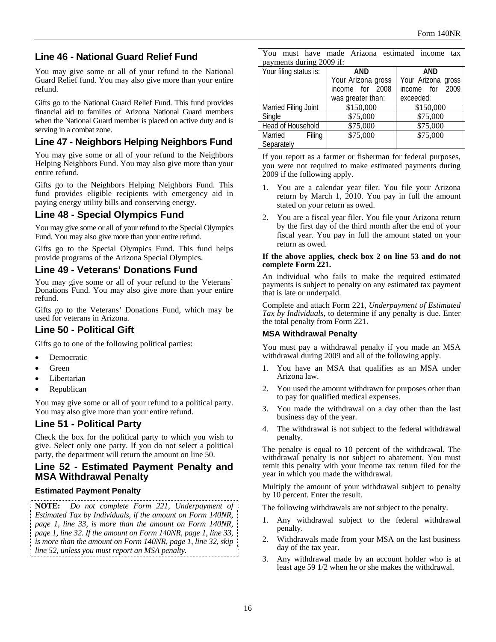# **Line 46 - National Guard Relief Fund**

You may give some or all of your refund to the National Guard Relief fund. You may also give more than your entire refund.

Gifts go to the National Guard Relief Fund. This fund provides financial aid to families of Arizona National Guard members when the National Guard member is placed on active duty and is serving in a combat zone.

# **Line 47 - Neighbors Helping Neighbors Fund**

You may give some or all of your refund to the Neighbors Helping Neighbors Fund. You may also give more than your entire refund.

Gifts go to the Neighbors Helping Neighbors Fund. This fund provides eligible recipients with emergency aid in paying energy utility bills and conserving energy.

# **Line 48 - Special Olympics Fund**

You may give some or all of your refund to the Special Olympics Fund. You may also give more than your entire refund.

Gifts go to the Special Olympics Fund. This fund helps provide programs of the Arizona Special Olympics.

## **Line 49 - Veterans' Donations Fund**

You may give some or all of your refund to the Veterans' Donations Fund. You may also give more than your entire refund.

Gifts go to the Veterans' Donations Fund, which may be used for veterans in Arizona.

# **Line 50 - Political Gift**

Gifts go to one of the following political parties:

- Democratic
- Green
- Libertarian
- Republican

You may give some or all of your refund to a political party. You may also give more than your entire refund.

# **Line 51 - Political Party**

Check the box for the political party to which you wish to give. Select only one party. If you do not select a political party, the department will return the amount on line 50.

## **Line 52 - Estimated Payment Penalty and MSA Withdrawal Penalty**

#### **Estimated Payment Penalty**

**NOTE:** *Do not complete Form 221, Underpayment of Estimated Tax by Individuals, if the amount on Form 140NR, page 1, line 33, is more than the amount on Form 140NR, page 1, line 32. If the amount on Form 140NR, page 1, line 33, is more than the amount on Form 140NR, page 1, line 32, skip line 52, unless you must report an MSA penalty.*

| You                      | must have made Arizona estimated income tax |                    |
|--------------------------|---------------------------------------------|--------------------|
| payments during 2009 if: |                                             |                    |
| Your filing status is:   | AND                                         | AND                |
|                          | Your Arizona gross                          | Your Arizona gross |
|                          | income for 2008                             | income for 2009    |
|                          | was greater than:                           | exceeded:          |
| Married Filing Joint     | \$150,000                                   | \$150,000          |
| Single                   | \$75,000                                    | \$75,000           |
| Head of Household        | \$75,000                                    | \$75,000           |
| Married<br>Filing        | \$75,000                                    | \$75,000           |
| Separately               |                                             |                    |

If you report as a farmer or fisherman for federal purposes, you were not required to make estimated payments during 2009 if the following apply.

- 1. You are a calendar year filer. You file your Arizona return by March 1, 2010. You pay in full the amount stated on your return as owed.
- 2. You are a fiscal year filer. You file your Arizona return by the first day of the third month after the end of your fiscal year. You pay in full the amount stated on your return as owed.

#### **If the above applies, check box 2 on line 53 and do not complete Form 221.**

An individual who fails to make the required estimated payments is subject to penalty on any estimated tax payment that is late or underpaid.

Complete and attach Form 221, *Underpayment of Estimated Tax by Individuals*, to determine if any penalty is due. Enter the total penalty from Form 221.

#### **MSA Withdrawal Penalty**

You must pay a withdrawal penalty if you made an MSA withdrawal during 2009 and all of the following apply.

- 1. You have an MSA that qualifies as an MSA under Arizona law.
- 2. You used the amount withdrawn for purposes other than to pay for qualified medical expenses.
- 3. You made the withdrawal on a day other than the last business day of the year.
- 4. The withdrawal is not subject to the federal withdrawal penalty.

The penalty is equal to 10 percent of the withdrawal. The withdrawal penalty is not subject to abatement. You must remit this penalty with your income tax return filed for the year in which you made the withdrawal.

Multiply the amount of your withdrawal subject to penalty by 10 percent. Enter the result.

The following withdrawals are not subject to the penalty.

- 1. Any withdrawal subject to the federal withdrawal penalty.
- 2. Withdrawals made from your MSA on the last business day of the tax year.
- 3. Any withdrawal made by an account holder who is at least age 59 1/2 when he or she makes the withdrawal.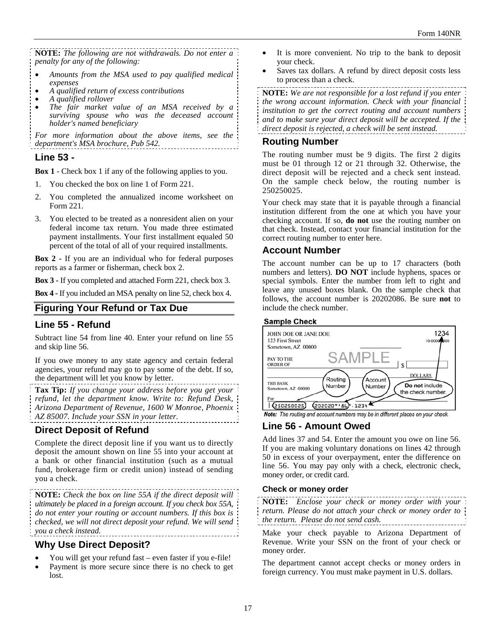**NOTE:** *The following are not withdrawals. Do not enter a penalty for any of the following:* 

- *Amounts from the MSA used to pay qualified medical expenses*
- *A qualified return of excess contributions A qualified rollover*
- 
- *The fair market value of an MSA received by a surviving spouse who was the deceased account holder's named beneficiary*

*For more information about the above items, see the department's MSA brochure, Pub 542.* 

#### **Line 53 -**

**Box 1** - Check box 1 if any of the following applies to you.

- 1. You checked the box on line 1 of Form 221.
- 2. You completed the annualized income worksheet on Form 221.
- 3. You elected to be treated as a nonresident alien on your federal income tax return. You made three estimated payment installments. Your first installment equaled 50 percent of the total of all of your required installments.

**Box 2 -** If you are an individual who for federal purposes reports as a farmer or fisherman, check box 2.

**Box 3 -** If you completed and attached Form 221, check box 3.

**Box 4 -** If you included an MSA penalty on line 52, check box 4.

## **Figuring Your Refund or Tax Due**

## **Line 55 - Refund**

Subtract line 54 from line 40. Enter your refund on line 55 and skip line 56.

If you owe money to any state agency and certain federal agencies, your refund may go to pay some of the debt. If so, the department will let you know by letter.

**Tax Tip:** *If you change your address before you get your refund, let the department know. Write to: Refund Desk, Arizona Department of Revenue, 1600 W Monroe, Phoenix AZ 85007. Include your SSN in your letter.* 

# **Direct Deposit of Refund**

Complete the direct deposit line if you want us to directly deposit the amount shown on line 55 into your account at a bank or other financial institution (such as a mutual fund, brokerage firm or credit union) instead of sending you a check.

**NOTE:** *Check the box on line 55A if the direct deposit will ultimately be placed in a foreign account. If you check box 55A, do not enter your routing or account numbers. If this box is checked, we will not direct deposit your refund. We will send you a check instead.* 

## **Why Use Direct Deposit?**

- You will get your refund fast even faster if you e-file!
- Payment is more secure since there is no check to get lost.
- It is more convenient. No trip to the bank to deposit your check.
- Saves tax dollars. A refund by direct deposit costs less to process than a check.

**NOTE:** *We are not responsible for a lost refund if you enter the wrong account information. Check with your financial institution to get the correct routing and account numbers and to make sure your direct deposit will be accepted. If the direct deposit is rejected, a check will be sent instead.*

## **Routing Number**

The routing number must be 9 digits. The first 2 digits must be 01 through 12 or 21 through 32. Otherwise, the direct deposit will be rejected and a check sent instead. On the sample check below, the routing number is 250250025.

Your check may state that it is payable through a financial institution different from the one at which you have your checking account. If so, **do not** use the routing number on that check. Instead, contact your financial institution for the correct routing number to enter here.

#### **Account Number**

The account number can be up to 17 characters (both numbers and letters). **DO NOT** include hyphens, spaces or special symbols. Enter the number from left to right and leave any unused boxes blank. On the sample check that follows, the account number is 20202086. Be sure **not** to include the check number.

#### **Sample Check**



Note: The routing and account numbers may be in different places on your check.

## **Line 56 - Amount Owed**

Add lines 37 and 54. Enter the amount you owe on line 56. If you are making voluntary donations on lines 42 through 50 in excess of your overpayment, enter the difference on line 56. You may pay only with a check, electronic check, money order, or credit card.

#### **Check or money order**

**NOTE:** *Enclose your check or money order with your return. Please do not attach your check or money order to the return. Please do not send cash.*

Make your check payable to Arizona Department of Revenue. Write your SSN on the front of your check or money order.

The department cannot accept checks or money orders in foreign currency. You must make payment in U.S. dollars.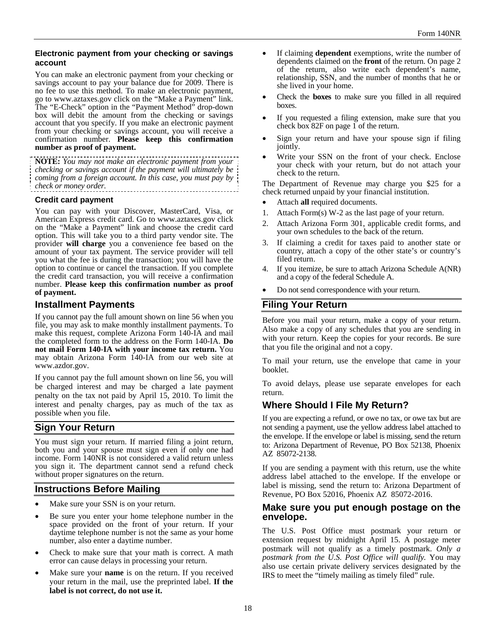#### **Electronic payment from your checking or savings account**

You can make an electronic payment from your checking or savings account to pay your balance due for 2009. There is no fee to use this method. To make an electronic payment, go to www.aztaxes.gov click on the "Make a Payment" link. The "E-Check" option in the "Payment Method" drop-down box will debit the amount from the checking or savings account that you specify. If you make an electronic payment from your checking or savings account, you will receive a confirmation number. **Please keep this confirmation number as proof of payment.** 

**NOTE:** *You may not make an electronic payment from your checking or savings account if the payment will ultimately be coming from a foreign account. In this case, you must pay by check or money order.* 

#### **Credit card payment**

You can pay with your Discover, MasterCard, Visa, or American Express credit card. Go to www.aztaxes.gov click on the "Make a Payment" link and choose the credit card option. This will take you to a third party vendor site. The provider **will charge** you a convenience fee based on the amount of your tax payment. The service provider will tell you what the fee is during the transaction; you will have the option to continue or cancel the transaction. If you complete the credit card transaction, you will receive a confirmation number. **Please keep this confirmation number as proof of payment.**

#### **Installment Payments**

If you cannot pay the full amount shown on line 56 when you file, you may ask to make monthly installment payments. To make this request, complete Arizona Form 140-IA and mail the completed form to the address on the Form 140-IA. **Do not mail Form 140**-**IA with your income tax return.** You may obtain Arizona Form 140-IA from our web site at www.azdor.gov.

If you cannot pay the full amount shown on line 56, you will be charged interest and may be charged a late payment penalty on the tax not paid by April 15, 2010. To limit the interest and penalty charges, pay as much of the tax as possible when you file.

## **Sign Your Return**

You must sign your return. If married filing a joint return, both you and your spouse must sign even if only one had income. Form 140NR is not considered a valid return unless you sign it. The department cannot send a refund check without proper signatures on the return.

#### **Instructions Before Mailing**

- Make sure your SSN is on your return.
- Be sure you enter your home telephone number in the space provided on the front of your return. If your daytime telephone number is not the same as your home number, also enter a daytime number.
- Check to make sure that your math is correct. A math error can cause delays in processing your return.
- Make sure your **name** is on the return. If you received your return in the mail, use the preprinted label. **If the label is not correct, do not use it.**
- If claiming **dependent** exemptions, write the number of dependents claimed on the **front** of the return. On page 2 of the return, also write each dependent's name, relationship, SSN, and the number of months that he or she lived in your home.
- Check the **boxes** to make sure you filled in all required boxes.
- If you requested a filing extension, make sure that you check box  $82F$  on page 1 of the return.
- Sign your return and have your spouse sign if filing jointly.
- Write your SSN on the front of your check. Enclose your check with your return, but do not attach your check to the return.

The Department of Revenue may charge you \$25 for a check returned unpaid by your financial institution.

- Attach **all** required documents.
- 1. Attach Form(s) W-2 as the last page of your return.
- 2. Attach Arizona Form 301, applicable credit forms, and your own schedules to the back of the return.
- 3. If claiming a credit for taxes paid to another state or country, attach a copy of the other state's or country's filed return.
- 4. If you itemize, be sure to attach Arizona Schedule A(NR) and a copy of the federal Schedule A.
- Do not send correspondence with your return.

# **Filing Your Return**

Before you mail your return, make a copy of your return. Also make a copy of any schedules that you are sending in with your return. Keep the copies for your records. Be sure that you file the original and not a copy.

To mail your return, use the envelope that came in your booklet.

To avoid delays, please use separate envelopes for each return.

# **Where Should I File My Return?**

If you are expecting a refund, or owe no tax, or owe tax but are not sending a payment, use the yellow address label attached to the envelope. If the envelope or label is missing, send the return to: Arizona Department of Revenue, PO Box 52138, Phoenix AZ 85072-2138.

If you are sending a payment with this return, use the white address label attached to the envelope. If the envelope or label is missing, send the return to: Arizona Department of Revenue, PO Box 52016, Phoenix AZ 85072-2016.

#### **Make sure you put enough postage on the envelope.**

The U.S. Post Office must postmark your return or extension request by midnight April 15. A postage meter postmark will not qualify as a timely postmark. *Only a postmark from the U.S. Post Office will qualify.* You may also use certain private delivery services designated by the IRS to meet the "timely mailing as timely filed" rule.